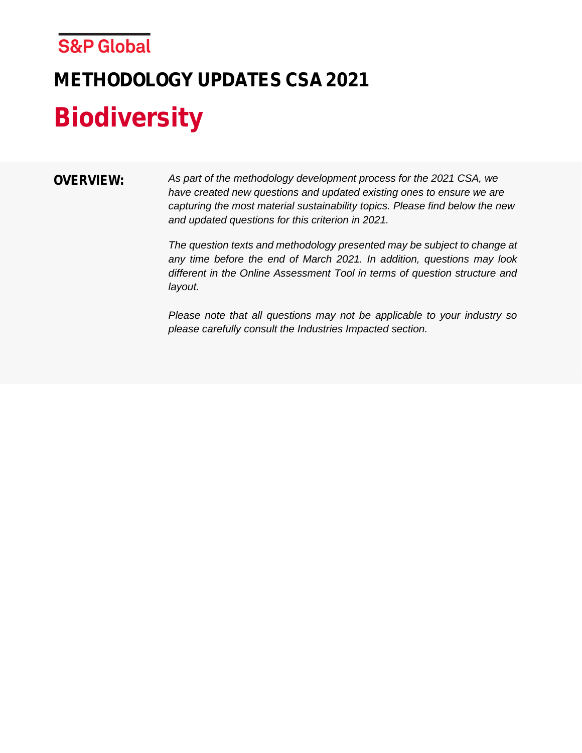# **METHODOLOGY UPDATES CSA 2021 Biodiversity**

**OVERVIEW:** *As part of the methodology development process for the 2021 CSA, we have created new questions and updated existing ones to ensure we are capturing the most material sustainability topics. Please find below the new and updated questions for this criterion in 2021.* 

> *The question texts and methodology presented may be subject to change at any time before the end of March 2021. In addition, questions may look different in the Online Assessment Tool in terms of question structure and layout.*

> *Please note that all questions may not be applicable to your industry so please carefully consult the Industries Impacted section.*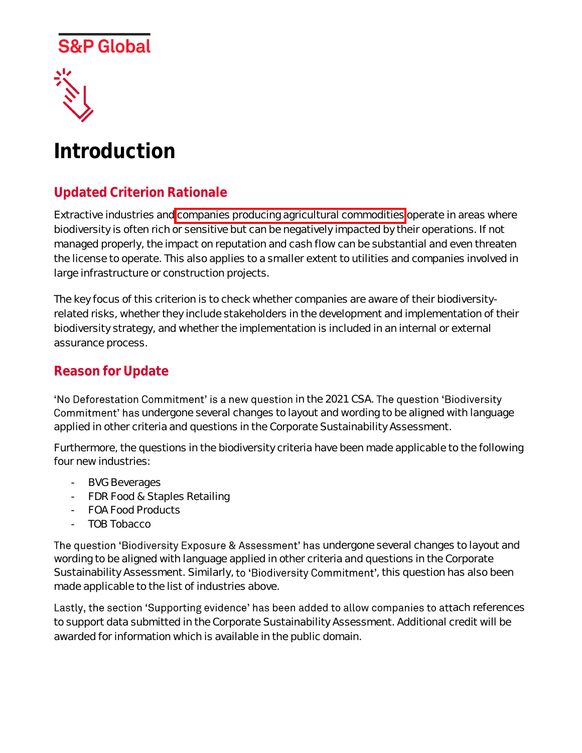



# **Introduction**

### **Updated Criterion Rationale**

Extractive industries and companies producing agricultural commodities operate in areas where biodiversity is often rich or sensitive but can be negatively impacted by their operations. If not managed properly, the impact on reputation and cash flow can be substantial and even threaten the license to operate. This also applies to a smaller extent to utilities and companies involved in large infrastructure or construction projects.

The key focus of this criterion is to check whether companies are aware of their biodiversityrelated risks, whether they include stakeholders in the development and implementation of their biodiversity strategy, and whether the implementation is included in an internal or external assurance process.

#### **Reason for Update**

'No Deforestation Commitment' is a new question in the 2021 CSA. The question 'Biodiversity Commitment' has undergone several changes to layout and wording to be aligned with language applied in other criteria and questions in the Corporate Sustainability Assessment.

Furthermore, the questions in the biodiversity criteria have been made applicable to the following four new industries:

- BVG Beverages
- FDR Food & Staples Retailing
- FOA Food Products
- TOB Tobacco

The question 'Biodiversity Exposure & Assessment' has undergone several changes to layout and wording to be aligned with language applied in other criteria and questions in the Corporate Sustainability Assessment. Similarly, to 'Biodiversity Commitment', this question has also been made applicable to the list of industries above.

Lastly, the section 'Supporting evidence' has been added to allow companies to attach references to support data submitted in the Corporate Sustainability Assessment. Additional credit will be awarded for information which is available in the public domain.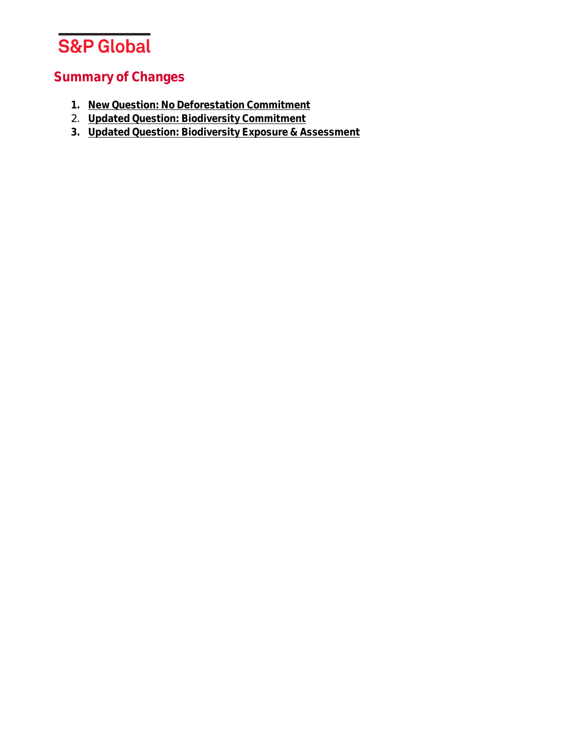

### **Summary of Changes**

- **1. [New Question: No Deforestation Commitment](#page-3-0)**
- 2. **[Updated Question: Biodiversity Commitment](#page-8-0)**
- **3. [Updated Question: Biodiversity Exposure & Assessment](#page-13-0)**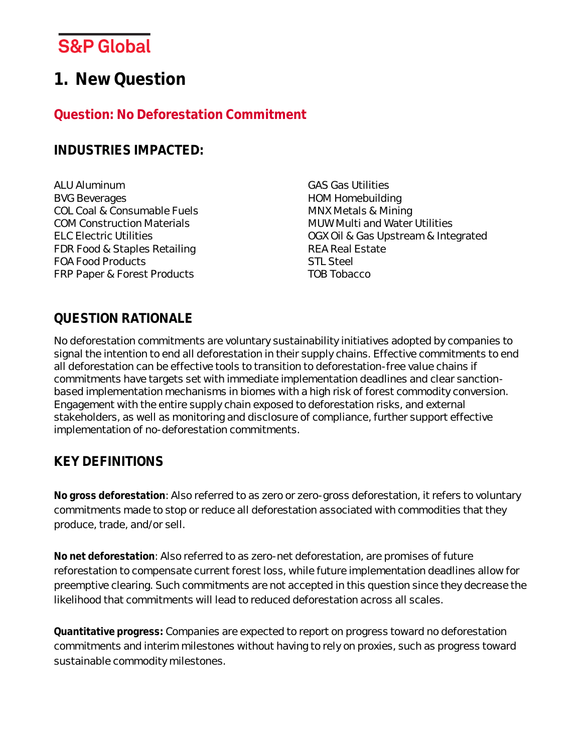### <span id="page-3-0"></span>**1. New Question**

### **Question: No Deforestation Commitment**

#### **INDUSTRIES IMPACTED:**

ALU Aluminum BVG Beverages COL Coal & Consumable Fuels COM Construction Materials ELC Electric Utilities FDR Food & Staples Retailing FOA Food Products FRP Paper & Forest Products

GAS Gas Utilities HOM Homebuilding MNX Metals & Mining MUW Multi and Water Utilities OGX Oil & Gas Upstream & Integrated REA Real Estate STL Steel TOB Tobacco

### **QUESTION RATIONALE**

No deforestation commitments are voluntary sustainability initiatives adopted by companies to signal the intention to end all deforestation in their supply chains. Effective commitments to end all deforestation can be effective tools to transition to deforestation-free value chains if commitments have targets set with immediate implementation deadlines and clear sanctionbased implementation mechanisms in biomes with a high risk of forest commodity conversion. Engagement with the entire supply chain exposed to deforestation risks, and external stakeholders, as well as monitoring and disclosure of compliance, further support effective implementation of no-deforestation commitments.

### **KEY DEFINITIONS**

**No gross deforestation**: Also referred to as zero or zero-gross deforestation, it refers to voluntary commitments made to stop or reduce all deforestation associated with commodities that they produce, trade, and/or sell.

**No net deforestation**: Also referred to as zero-net deforestation, are promises of future reforestation to compensate current forest loss, while future implementation deadlines allow for preemptive clearing. Such commitments are not accepted in this question since they decrease the likelihood that commitments will lead to reduced deforestation across all scales.

**Quantitative progress:** Companies are expected to report on progress toward no deforestation commitments and interim milestones without having to rely on proxies, such as progress toward sustainable commodity milestones.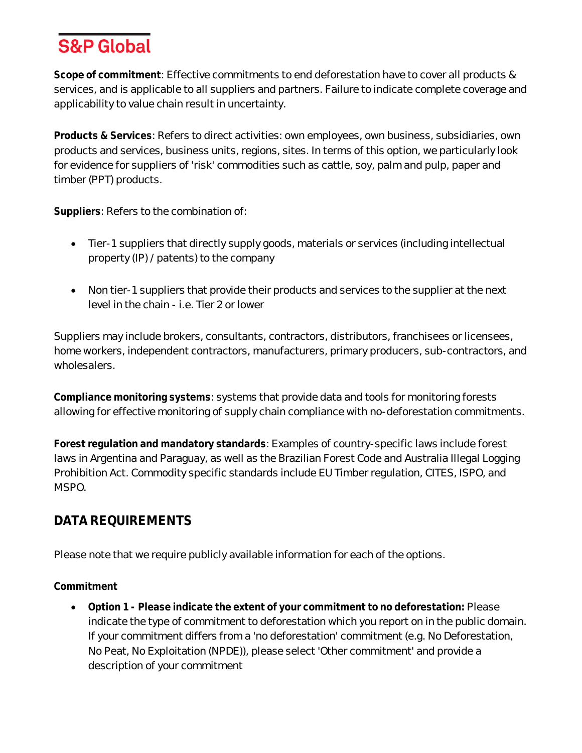**Scope of commitment**: Effective commitments to end deforestation have to cover all products & services, and is applicable to all suppliers and partners. Failure to indicate complete coverage and applicability to value chain result in uncertainty.

**Products & Services**: Refers to direct activities: own employees, own business, subsidiaries, own products and services, business units, regions, sites. In terms of this option, we particularly look for evidence for suppliers of 'risk' commodities such as cattle, soy, palm and pulp, paper and timber (PPT) products.

**Suppliers**: Refers to the combination of:

- Tier-1 suppliers that directly supply goods, materials or services (including intellectual property (IP) / patents) to the company
- Non tier-1 suppliers that provide their products and services to the supplier at the next level in the chain - i.e. Tier 2 or lower

Suppliers may include brokers, consultants, contractors, distributors, franchisees or licensees, home workers, independent contractors, manufacturers, primary producers, sub-contractors, and wholesalers.

**Compliance monitoring systems**: systems that provide data and tools for monitoring forests allowing for effective monitoring of supply chain compliance with no-deforestation commitments.

**Forest regulation and mandatory standards**: Examples of country-specific laws include forest laws in Argentina and Paraguay, as well as the Brazilian Forest Code and Australia Illegal Logging Prohibition Act. Commodity specific standards include EU Timber regulation, CITES, ISPO, and MSPO.

#### **DATA REQUIREMENTS**

Please note that we require publicly available information for each of the options.

**Commitment**

• **Option 1 - Please indicate the extent of your commitment to no deforestation:** Please indicate the type of commitment to deforestation which you report on in the public domain. If your commitment differs from a 'no deforestation' commitment (e.g. No Deforestation, No Peat, No Exploitation (NPDE)), please select 'Other commitment' and provide a description of your commitment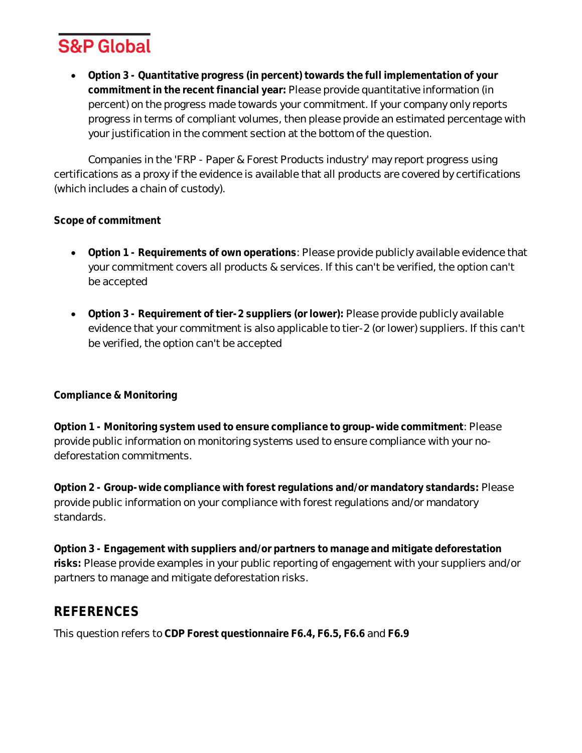

• **Option 3 - Quantitative progress (in percent) towards the full implementation of your commitment in the recent financial year:** Please provide quantitative information (in percent) on the progress made towards your commitment. If your company only reports progress in terms of compliant volumes, then please provide an estimated percentage with your justification in the comment section at the bottom of the question.

Companies in the 'FRP - Paper & Forest Products industry' may report progress using certifications as a proxy if the evidence is available that all products are covered by certifications (which includes a chain of custody).

#### **Scope of commitment**

- **Option 1 - Requirements of own operations**: Please provide publicly available evidence that your commitment covers all products & services. If this can't be verified, the option can't be accepted
- **Option 3 - Requirement of tier-2 suppliers (or lower):** Please provide publicly available evidence that your commitment is also applicable to tier-2 (or lower) suppliers. If this can't be verified, the option can't be accepted

#### **Compliance & Monitoring**

**Option 1 - Monitoring system used to ensure compliance to group-wide commitment**: Please provide public information on monitoring systems used to ensure compliance with your nodeforestation commitments.

**Option 2 - Group-wide compliance with forest regulations and/or mandatory standards:** Please provide public information on your compliance with forest regulations and/or mandatory standards.

**Option 3 - Engagement with suppliers and/or partners to manage and mitigate deforestation risks:** Please provide examples in your public reporting of engagement with your suppliers and/or partners to manage and mitigate deforestation risks.

#### **REFERENCES**

This question refers to **CDP Forest questionnaire F6.4, F6.5, F6.6** and **F6.9**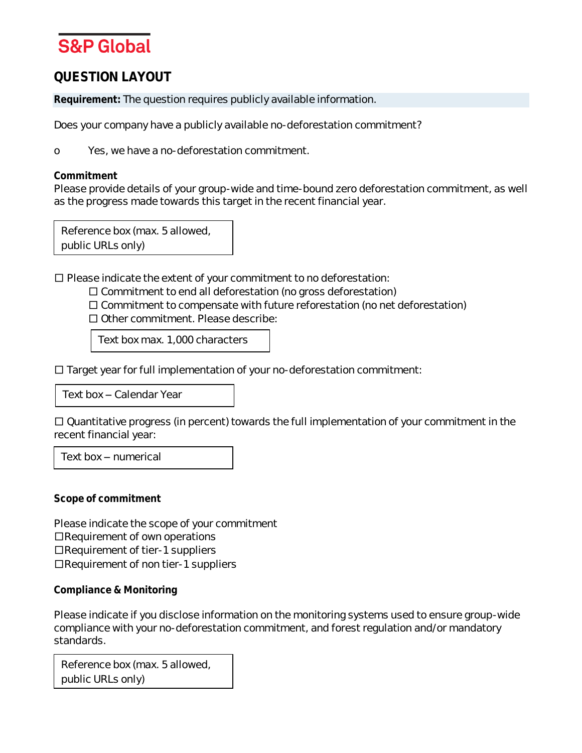#### **QUESTION LAYOUT**

**Requirement:** The question requires publicly available information.

Does your company have a publicly available no-deforestation commitment?

o Yes, we have a no-deforestation commitment.

**Commitment**

Please provide details of your group-wide and time-bound zero deforestation commitment, as well as the progress made towards this target in the recent financial year.

Reference box (max. 5 allowed, public URLs only)

 $\square$  Please indicate the extent of your commitment to no deforestation:

□ Commitment to end all deforestation (no gross deforestation)

 $\square$  Commitment to compensate with future reforestation (no net deforestation)

□ Other commitment. Please describe:

Text box max. 1,000 characters

□ Target year for full implementation of your no-deforestation commitment:

Text box - Calendar Year

 $\square$  Quantitative progress (in percent) towards the full implementation of your commitment in the recent financial year:

Text box  $-$  numerical

**Scope of commitment**

Please indicate the scope of your commitment □Requirement of own operations □Requirement of tier-1 suppliers □Requirement of non tier-1 suppliers

**Compliance & Monitoring**

Please indicate if you disclose information on the monitoring systems used to ensure group-wide compliance with your no-deforestation commitment, and forest regulation and/or mandatory standards.

Reference box (max. 5 allowed, public URLs only)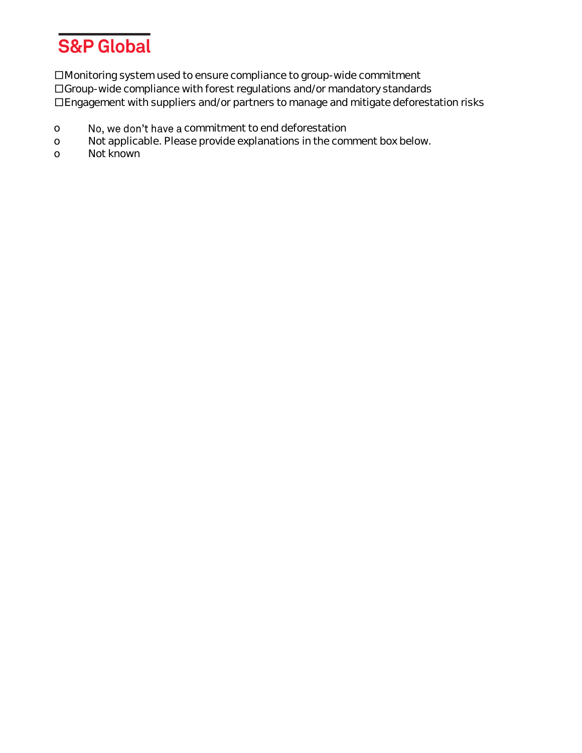

□Monitoring system used to ensure compliance to group-wide commitment □Group-wide compliance with forest regulations and/or mandatory standards □Engagement with suppliers and/or partners to manage and mitigate deforestation risks

- o No, we don't have a commitment to end deforestation
- o Not applicable. Please provide explanations in the comment box below.
- o Not known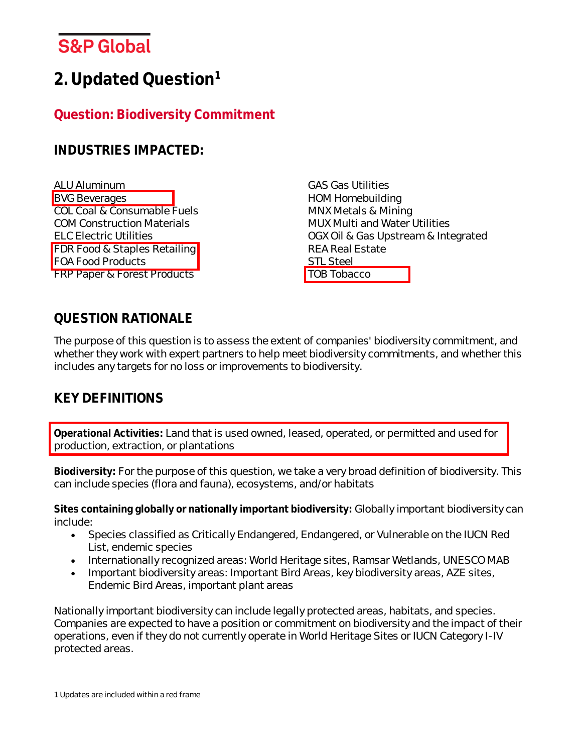# <span id="page-8-0"></span>**2.Updated Question<sup>1</sup>**

### **Question: Biodiversity Commitment**

#### **INDUSTRIES IMPACTED:**

ALU Aluminum **BVG Beverages** COL Coal & Consumable Fuels COM Construction Materials ELC Electric Utilities FDR Food & Staples Retailing FOA Food Products FRP Paper & Forest Products

GAS Gas Utilities HOM Homebuilding MNX Metals & Mining MUX Multi and Water Utilities OGX Oil & Gas Upstream & Integrated REA Real Estate STL Steel TOB Tobacco

#### **QUESTION RATIONALE**

The purpose of this question is to assess the extent of companies' biodiversity commitment, and whether they work with expert partners to help meet biodiversity commitments, and whether this includes any targets for no loss or improvements to biodiversity.

### **KEY DEFINITIONS**

**Operational Activities:** Land that is used owned, leased, operated, or permitted and used for production, extraction, or plantations

**Biodiversity:** For the purpose of this question, we take a very broad definition of biodiversity. This can include species (flora and fauna), ecosystems, and/or habitats

**Sites containing globally or nationally important biodiversity:** Globally important biodiversity can include:

- Species classified as Critically Endangered, Endangered, or Vulnerable on the IUCN Red List, endemic species
- Internationally recognized areas: World Heritage sites, Ramsar Wetlands, UNESCO MAB
- Important biodiversity areas: Important Bird Areas, key biodiversity areas, AZE sites, Endemic Bird Areas, important plant areas

Nationally important biodiversity can include legally protected areas, habitats, and species. Companies are expected to have a position or commitment on biodiversity and the impact of their operations, even if they do not currently operate in World Heritage Sites or IUCN Category I-IV protected areas.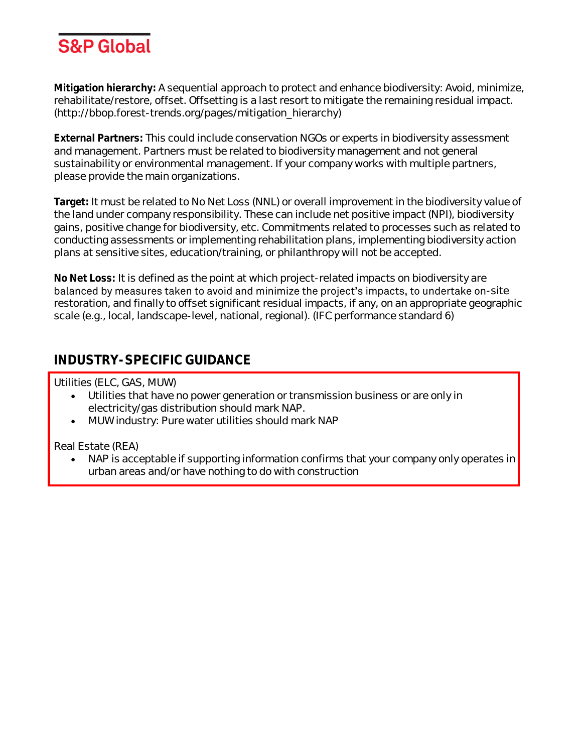

**Mitigation hierarchy:** A sequential approach to protect and enhance biodiversity: Avoid, minimize, rehabilitate/restore, offset. Offsetting is a last resort to mitigate the remaining residual impact. (http://bbop.forest-trends.org/pages/mitigation\_hierarchy)

**External Partners:** This could include conservation NGOs or experts in biodiversity assessment and management. Partners must be related to biodiversity management and not general sustainability or environmental management. If your company works with multiple partners, please provide the main organizations.

**Target:** It must be related to No Net Loss (NNL) or overall improvement in the biodiversity value of the land under company responsibility. These can include net positive impact (NPI), biodiversity gains, positive change for biodiversity, etc. Commitments related to processes such as related to conducting assessments or implementing rehabilitation plans, implementing biodiversity action plans at sensitive sites, education/training, or philanthropy will not be accepted.

**No Net Loss:** It is defined as the point at which project-related impacts on biodiversity are balanced by measures taken to avoid and minimize the project's impacts, to undertake on-site restoration, and finally to offset significant residual impacts, if any, on an appropriate geographic scale (e.g., local, landscape-level, national, regional). (IFC performance standard 6)

#### **INDUSTRY-SPECIFIC GUIDANCE**

Utilities (ELC, GAS, MUW)

- Utilities that have no power generation or transmission business or are only in electricity/gas distribution should mark NAP.
- MUW industry: Pure water utilities should mark NAP

Real Estate (REA)

• NAP is acceptable if supporting information confirms that your company only operates in urban areas and/or have nothing to do with construction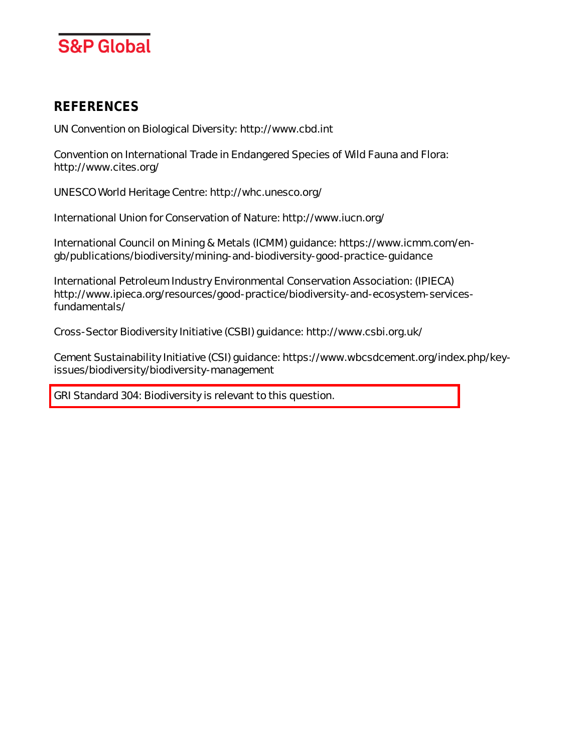

#### **REFERENCES**

UN Convention on Biological Diversity: http://www.cbd.int

Convention on International Trade in Endangered Species of Wild Fauna and Flora: http://www.cites.org/

UNESCO World Heritage Centre: http://whc.unesco.org/

International Union for Conservation of Nature: http://www.iucn.org/

International Council on Mining & Metals (ICMM) guidance: https://www.icmm.com/engb/publications/biodiversity/mining-and-biodiversity-good-practice-guidance

International Petroleum Industry Environmental Conservation Association: (IPIECA) http://www.ipieca.org/resources/good-practice/biodiversity-and-ecosystem-servicesfundamentals/

Cross-Sector Biodiversity Initiative (CSBI) guidance: http://www.csbi.org.uk/

Cement Sustainability Initiative (CSI) guidance: https://www.wbcsdcement.org/index.php/keyissues/biodiversity/biodiversity-management

GRI Standard 304: Biodiversity is relevant to this question.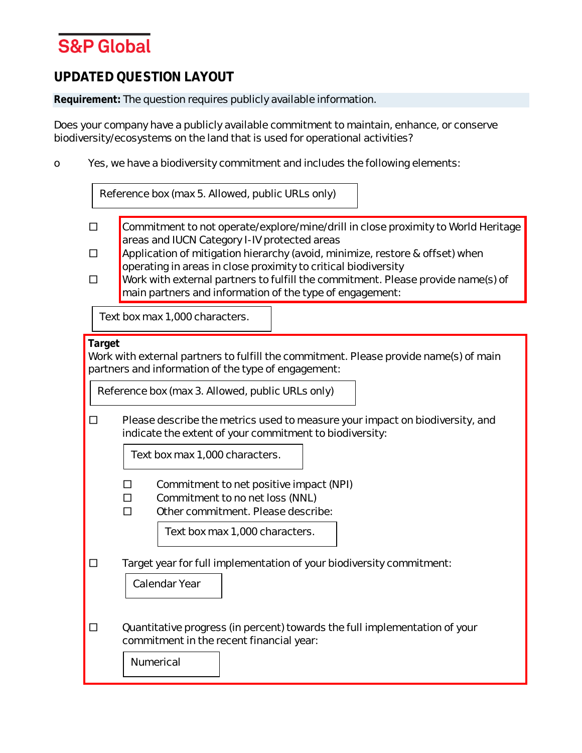#### **UPDATED QUESTION LAYOUT**

**Requirement:** The question requires publicly available information.

Does your company have a publicly available commitment to maintain, enhance, or conserve biodiversity/ecosystems on the land that is used for operational activities?

o Yes, we have a biodiversity commitment and includes the following elements:

|                                                                                                                                                                                                            | Reference box (max 5. Allowed, public URLs only)                                                                                                                                                                                                                                                                                                                                                                                    |  |  |  |  |
|------------------------------------------------------------------------------------------------------------------------------------------------------------------------------------------------------------|-------------------------------------------------------------------------------------------------------------------------------------------------------------------------------------------------------------------------------------------------------------------------------------------------------------------------------------------------------------------------------------------------------------------------------------|--|--|--|--|
| $\perp$<br>П                                                                                                                                                                                               | Commitment to not operate/explore/mine/drill in close proximity to World Heritage<br>areas and IUCN Category I-IV protected areas<br>Application of mitigation hierarchy (avoid, minimize, restore & offset) when<br>operating in areas in close proximity to critical biodiversity<br>Work with external partners to fulfill the commitment. Please provide name(s) of<br>main partners and information of the type of engagement: |  |  |  |  |
|                                                                                                                                                                                                            | Text box max 1,000 characters.                                                                                                                                                                                                                                                                                                                                                                                                      |  |  |  |  |
| Target<br>Work with external partners to fulfill the commitment. Please provide name(s) of main<br>partners and information of the type of engagement:<br>Reference box (max 3. Allowed, public URLs only) |                                                                                                                                                                                                                                                                                                                                                                                                                                     |  |  |  |  |
| □                                                                                                                                                                                                          | Please describe the metrics used to measure your impact on biodiversity, and<br>indicate the extent of your commitment to biodiversity:<br>Text box max 1,000 characters.                                                                                                                                                                                                                                                           |  |  |  |  |
|                                                                                                                                                                                                            | Commitment to net positive impact (NPI)<br>□<br>Commitment to no net loss (NNL)<br>$\Box$<br>Other commitment. Please describe:<br>п<br>Text box max 1,000 characters.                                                                                                                                                                                                                                                              |  |  |  |  |
| □                                                                                                                                                                                                          | Target year for full implementation of your biodiversity commitment:<br>Calendar Year                                                                                                                                                                                                                                                                                                                                               |  |  |  |  |
| □                                                                                                                                                                                                          | Quantitative progress (in percent) towards the full implementation of your<br>commitment in the recent financial year:<br>Numerical                                                                                                                                                                                                                                                                                                 |  |  |  |  |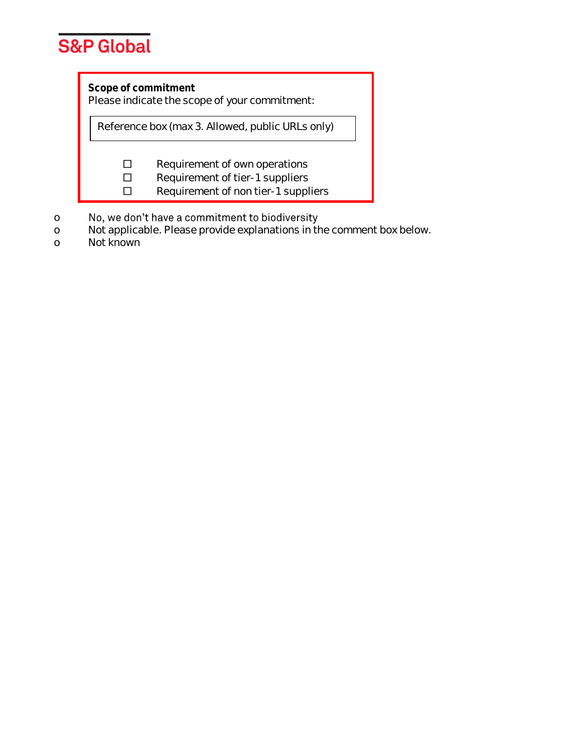

**Scope of commitment**

Please indicate the scope of your commitment:

Reference box (max 3. Allowed, public URLs only)

□ Requirement of own operations

□ Requirement of tier-1 suppliers

□ Requirement of non tier-1 suppliers

- No, we don't have a commitment to biodiversity o
- o Not applicable. Please provide explanations in the comment box below.
- o Not known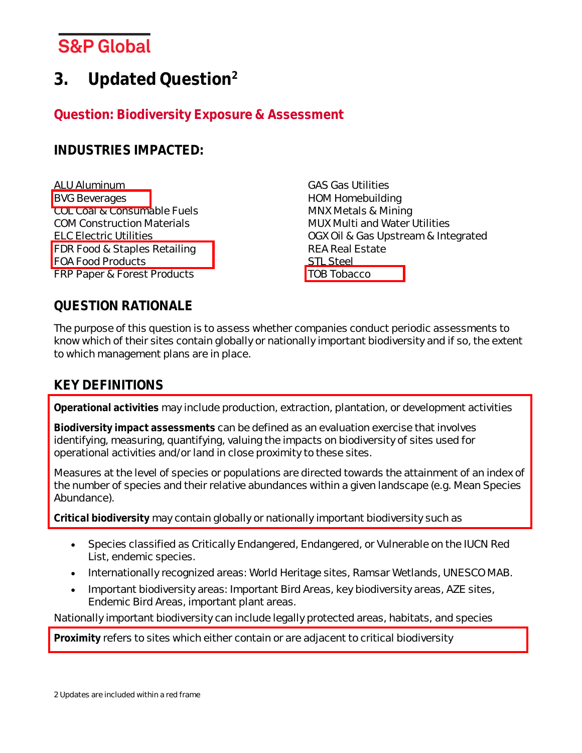# <span id="page-13-0"></span>**3. Updated Question<sup>2</sup>**

#### **Question: Biodiversity Exposure & Assessment**

#### **INDUSTRIES IMPACTED:**

ALU Aluminum BVG Beverages COL Coal & Consumable Fuels COM Construction Materials ELC Electric Utilities FDR Food & Staples Retailing FOA Food Products

FRP Paper & Forest Products

**QUESTION RATIONALE**

The purpose of this question is to assess whether companies conduct periodic assessments to know which of their sites contain globally or nationally important biodiversity and if so, the extent to which management plans are in place.

GAS Gas Utilities HOM Homebuilding MNX Metals & Mining

REA Real Estate

STL Steel TOB Tobacco

MUX Multi and Water Utilities

OGX Oil & Gas Upstream & Integrated

### **KEY DEFINITIONS**

**Operational activities** may include production, extraction, plantation, or development activities

**Biodiversity impact assessments** can be defined as an evaluation exercise that involves identifying, measuring, quantifying, valuing the impacts on biodiversity of sites used for operational activities and/or land in close proximity to these sites.

Measures at the level of species or populations are directed towards the attainment of an index of the number of species and their relative abundances within a given landscape (e.g. Mean Species Abundance).

**Critical biodiversity** may contain globally or nationally important biodiversity such as

- Species classified as Critically Endangered, Endangered, or Vulnerable on the IUCN Red List, endemic species.
- Internationally recognized areas: World Heritage sites, Ramsar Wetlands, UNESCO MAB.
- Important biodiversity areas: Important Bird Areas, key biodiversity areas, AZE sites, Endemic Bird Areas, important plant areas.

Nationally important biodiversity can include legally protected areas, habitats, and species

**Proximity** refers to sites which either contain or are adjacent to critical biodiversity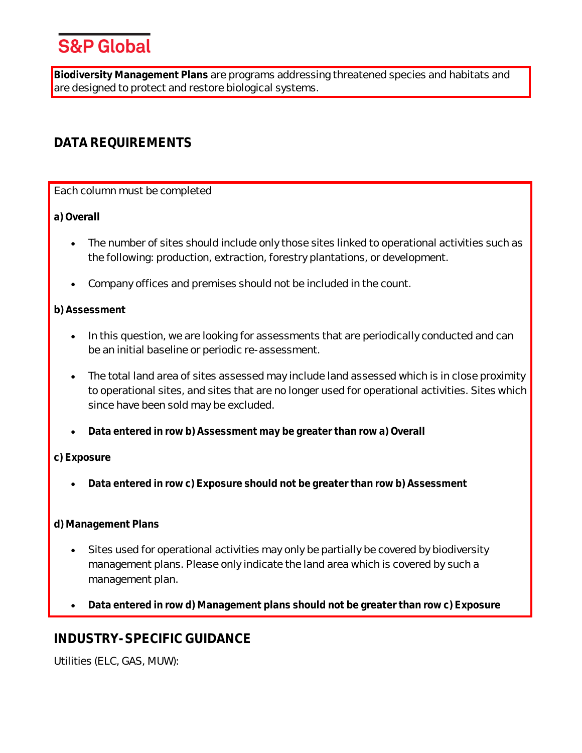**Biodiversity Management Plans** are programs addressing threatened species and habitats and are designed to protect and restore biological systems.

### **DATA REQUIREMENTS**

Each column must be completed

**a) Overall**

- The number of sites should include only those sites linked to operational activities such as the following: production, extraction, forestry plantations, or development.
- Company offices and premises should not be included in the count.

#### **b) Assessment**

- In this question, we are looking for assessments that are periodically conducted and can be an initial baseline or periodic re-assessment.
- The total land area of sites assessed may include land assessed which is in close proximity to operational sites, and sites that are no longer used for operational activities. Sites which since have been sold may be excluded.
- **Data entered in row b) Assessment may be greater than row a) Overall**

#### **c) Exposure**

• **Data entered in row c) Exposure should not be greater than row b) Assessment**

#### **d) Management Plans**

- Sites used for operational activities may only be partially be covered by biodiversity management plans. Please only indicate the land area which is covered by such a management plan.
- **Data entered in row d) Management plans should not be greater than row c) Exposure**

### **INDUSTRY-SPECIFIC GUIDANCE**

Utilities (ELC, GAS, MUW):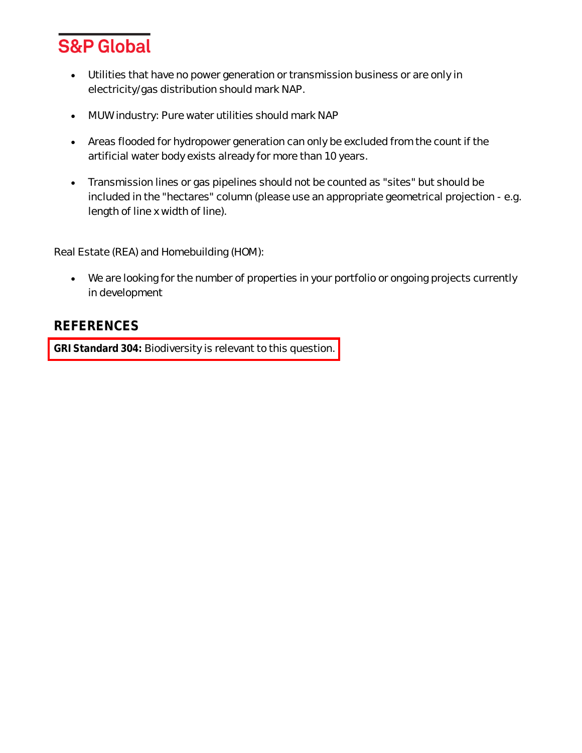

- Utilities that have no power generation or transmission business or are only in electricity/gas distribution should mark NAP.
- MUW industry: Pure water utilities should mark NAP
- Areas flooded for hydropower generation can only be excluded from the count if the artificial water body exists already for more than 10 years.
- Transmission lines or gas pipelines should not be counted as "sites" but should be included in the "hectares" column (please use an appropriate geometrical projection - e.g. length of line x width of line).

Real Estate (REA) and Homebuilding (HOM):

• We are looking for the number of properties in your portfolio or ongoing projects currently in development

#### **REFERENCES**

**GRI Standard 304:** Biodiversity is relevant to this question.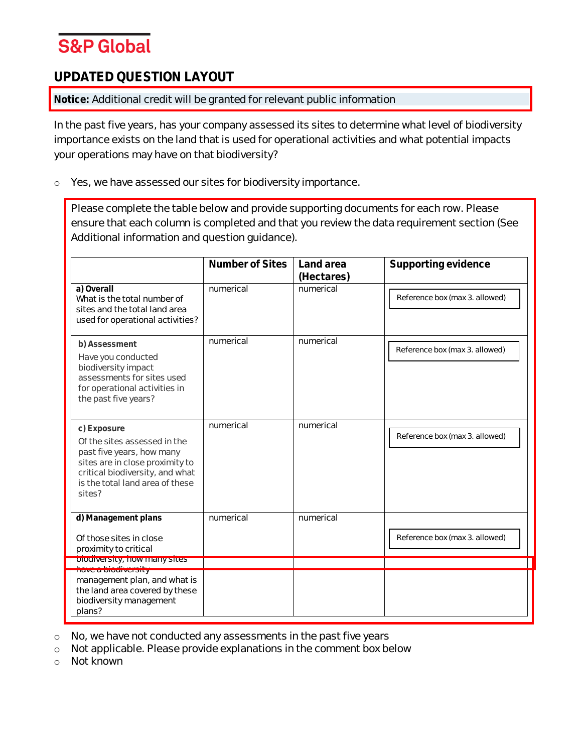#### **UPDATED QUESTION LAYOUT**

**Notice:** Additional credit will be granted for relevant public information

In the past five years, has your company assessed its sites to determine what level of biodiversity importance exists on the land that is used for operational activities and what potential impacts your operations may have on that biodiversity?

o Yes, we have assessed our sites for biodiversity importance.

Please complete the table below and provide supporting documents for each row. Please ensure that each column is completed and that you review the data requirement section (See Additional information and question guidance).

|                                                                                                                                                                                             | Number of Sites | Land area<br>(Hectares) | Supporting evidence            |
|---------------------------------------------------------------------------------------------------------------------------------------------------------------------------------------------|-----------------|-------------------------|--------------------------------|
| a) Overall<br>What is the total number of<br>sites and the total land area<br>used for operational activities?                                                                              | numerical       | numerical               | Reference box (max 3. allowed) |
| b) Assessment<br>Have you conducted<br>biodiversity impact<br>assessments for sites used<br>for operational activities in<br>the past five years?                                           | numerical       | numerical               | Reference box (max 3. allowed) |
| c) Exposure<br>Of the sites assessed in the<br>past five years, how many<br>sites are in close proximity to<br>critical biodiversity, and what<br>is the total land area of these<br>sites? | numerical       | numerical               | Reference box (max 3. allowed) |
| d) Management plans<br>Of those sites in close<br>proximity to critical                                                                                                                     | numerical       | numerical               | Reference box (max 3. allowed) |
| DIODIVERSITY, NOW MIZINY SITES                                                                                                                                                              |                 |                         |                                |
| <b>Have a biodiversity</b><br>management plan, and what is<br>the land area covered by these<br>biodiversity management<br>plans?                                                           |                 |                         |                                |

o No, we have not conducted any assessments in the past five years

o Not applicable. Please provide explanations in the comment box below

o Not known